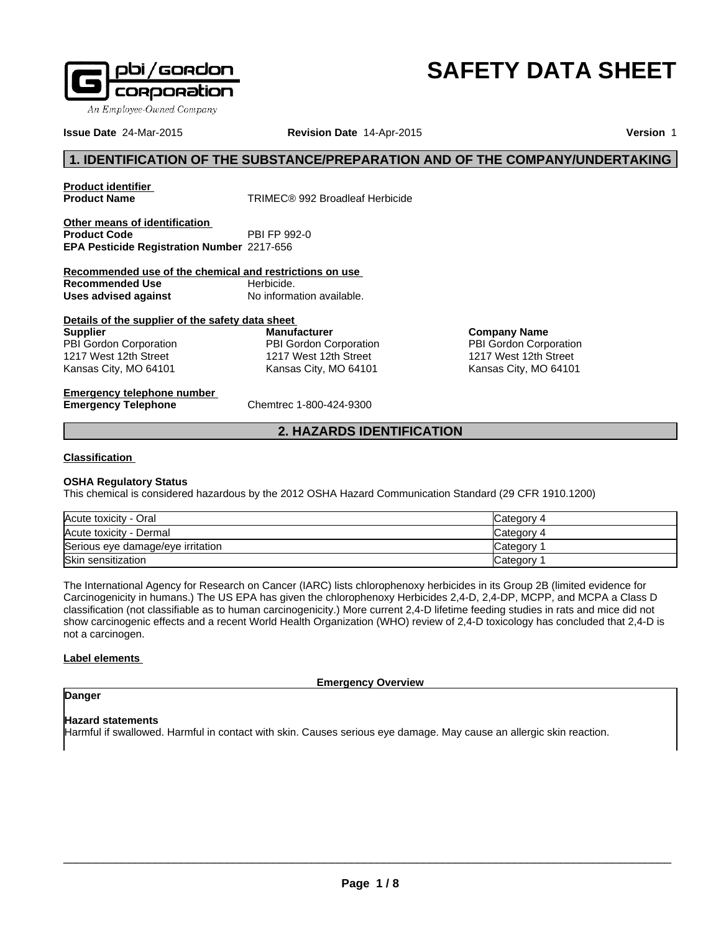

# **SAFETY DATA SHEET**

**Company Name** PBI Gordon Corporation 1217 West 12th Street Kansas City, MO 64101

**Issue Date** 24-Mar-2015 **Revision Date** 14-Apr-2015

**Version** 1

# **1. IDENTIFICATION OF THE SUBSTANCE/PREPARATION AND OF THE COMPANY/UNDERTAKING**

**Product identifier** 

**Product Name** TRIMEC® 992 Broadleaf Herbicide

**Other means of identification Product Code EPA Pesticide Registration Number** 2217-656

**Recommended use of the chemical and restrictions on use Recommended Use** Herbicide.<br> **Uses advised against** No information available. **Uses advised against** 

| Details of the supplier of the safety data sheet |                        |
|--------------------------------------------------|------------------------|
| <b>Supplier</b>                                  | <b>Manufacturer</b>    |
| PBI Gordon Corporation                           | PBI Gordon Corporation |
| 1217 West 12th Street                            | 1217 West 12th Street  |
| Kansas City, MO 64101                            | Kansas City, MO 64101  |

**Emergency telephone number Emergency Telephone** Chemtrec 1-800-424-9300

# **2. HAZARDS IDENTIFICATION**

# **Classification**

# **OSHA Regulatory Status**

This chemical is considered hazardous by the 2012 OSHA Hazard Communication Standard (29 CFR 1910.1200)

| Acute toxicity - Oral             | Category 4 |
|-----------------------------------|------------|
| Acute toxicity - Dermal           | Category 4 |
| Serious eye damage/eye irritation | Category   |
| Skin sensitization                | Category   |

The International Agency for Research on Cancer (IARC) lists chlorophenoxy herbicides in its Group 2B (limited evidence for Carcinogenicity in humans.) The US EPA has given the chlorophenoxy Herbicides 2,4-D, 2,4-DP, MCPP, and MCPA a Class D classification (not classifiable as to human carcinogenicity.) More current 2,4-D lifetime feeding studies in rats and mice did not show carcinogenic effects and a recent World Health Organization (WHO) review of 2,4-D toxicology has concluded that 2,4-D is not a carcinogen.

# **Label elements**

**Emergency Overview**

# **Hazard statements**

**Danger**

Harmful if swallowed. Harmful in contact with skin. Causes serious eye damage. May cause an allergic skin reaction.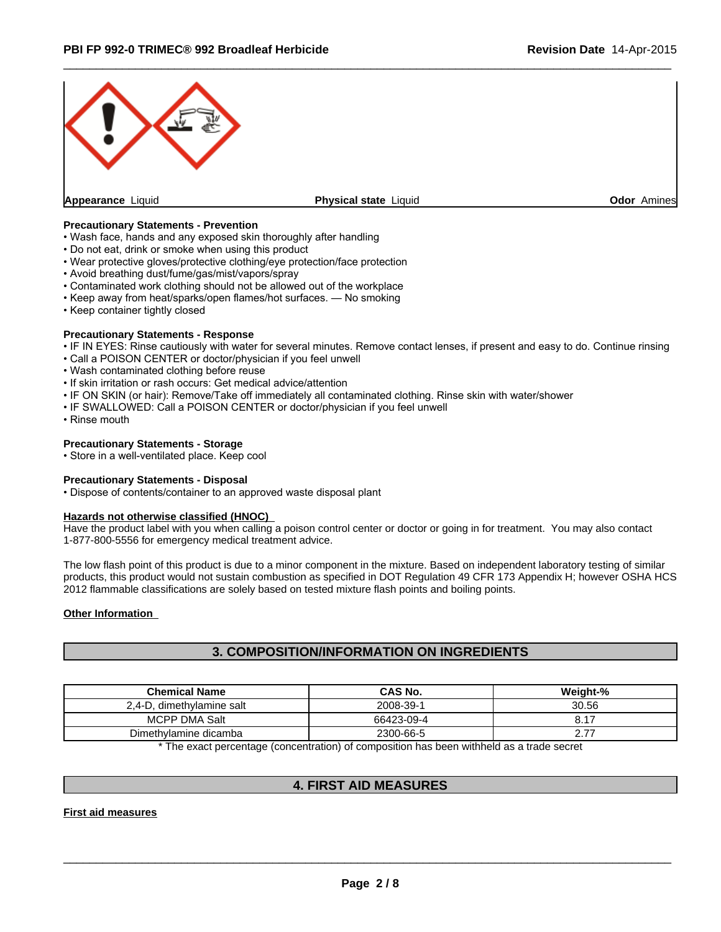

 $\overline{\phantom{a}}$  ,  $\overline{\phantom{a}}$  ,  $\overline{\phantom{a}}$  ,  $\overline{\phantom{a}}$  ,  $\overline{\phantom{a}}$  ,  $\overline{\phantom{a}}$  ,  $\overline{\phantom{a}}$  ,  $\overline{\phantom{a}}$  ,  $\overline{\phantom{a}}$  ,  $\overline{\phantom{a}}$  ,  $\overline{\phantom{a}}$  ,  $\overline{\phantom{a}}$  ,  $\overline{\phantom{a}}$  ,  $\overline{\phantom{a}}$  ,  $\overline{\phantom{a}}$  ,  $\overline{\phantom{a}}$ 

#### **Precautionary Statements - Prevention**

- Wash face, hands and any exposed skin thoroughly after handling
- Do not eat, drink or smoke when using this product
- Wear protective gloves/protective clothing/eye protection/face protection
- Avoid breathing dust/fume/gas/mist/vapors/spray
- Contaminated work clothing should not be allowed out of the workplace
- Keep away from heat/sparks/open flames/hot surfaces. No smoking
- Keep container tightly closed

### **Precautionary Statements - Response**

- IF IN EYES: Rinse cautiously with water for several minutes. Remove contact lenses, if present and easy to do. Continue rinsing
- Call a POISON CENTER or doctor/physician if you feel unwell
- Wash contaminated clothing before reuse
- If skin irritation or rash occurs: Get medical advice/attention
- IF ON SKIN (or hair): Remove/Take off immediately all contaminated clothing. Rinse skin with water/shower
- IF SWALLOWED: Call a POISON CENTER or doctor/physician if you feel unwell
- Rinse mouth

#### **Precautionary Statements - Storage**

• Store in a well-ventilated place. Keep cool

# **Precautionary Statements - Disposal**

• Dispose of contents/container to an approved waste disposal plant

#### **Hazards not otherwise classified (HNOC)**

Have the product label with you when calling a poison control center or doctor or going in for treatment. You may also contact 1-877-800-5556 for emergency medical treatment advice.

The low flash point of this product is due to a minor component in the mixture. Based on independent laboratory testing of similar products, this product would not sustain combustion as specified in DOT Regulation 49 CFR 173 Appendix H; however OSHA HCS 2012 flammable classifications are solely based on tested mixture flash points and boiling points.

#### **Other Information**

# **3. COMPOSITION/INFORMATION ON INGREDIENTS**

| <b>Chemical Name</b>             | CAS No.    | Weight-%                  |
|----------------------------------|------------|---------------------------|
| $2.4-D.$<br>. dimethvlamine salt | 2008-39-1  | 30.56                     |
| <b>MCPP DMA Salt</b>             | 66423-09-4 | <b>017</b><br>◡. ╷        |
| Dimethylamine dicamba            | 2300-66-5  | $\rightarrow$<br><u>.</u> |

\* The exact percentage (concentration) of composition has been withheld as a trade secret

# **4. FIRST AID MEASURES**

**First aid measures**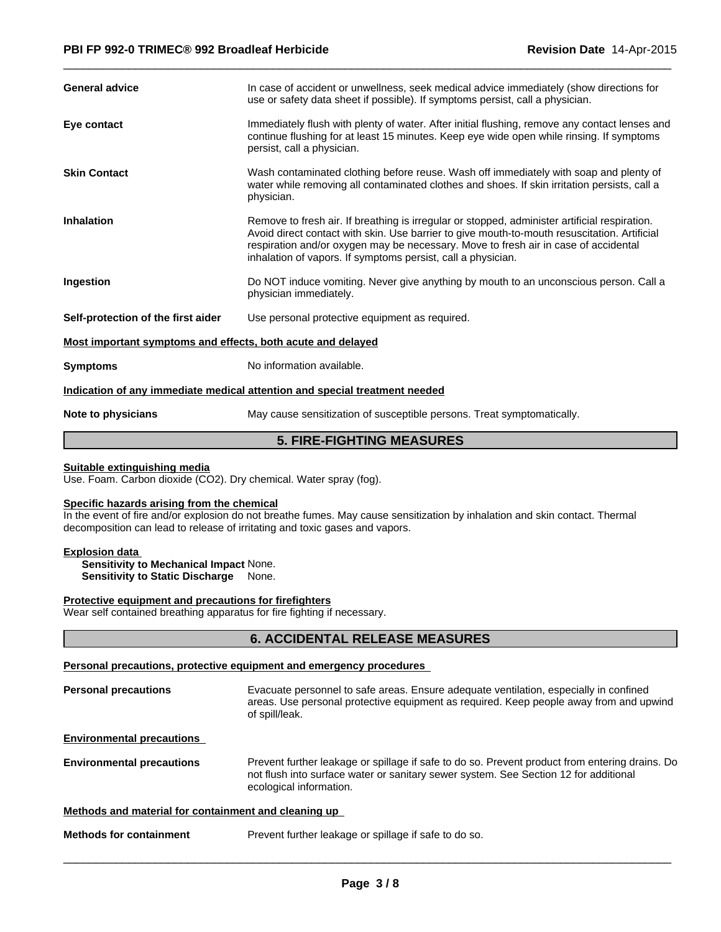| <b>General advice</b>                                       | In case of accident or unwellness, seek medical advice immediately (show directions for<br>use or safety data sheet if possible). If symptoms persist, call a physician.                                                                                                                                                                             |
|-------------------------------------------------------------|------------------------------------------------------------------------------------------------------------------------------------------------------------------------------------------------------------------------------------------------------------------------------------------------------------------------------------------------------|
| Eye contact                                                 | Immediately flush with plenty of water. After initial flushing, remove any contact lenses and<br>continue flushing for at least 15 minutes. Keep eye wide open while rinsing. If symptoms<br>persist, call a physician.                                                                                                                              |
| <b>Skin Contact</b>                                         | Wash contaminated clothing before reuse. Wash off immediately with soap and plenty of<br>water while removing all contaminated clothes and shoes. If skin irritation persists, call a<br>physician.                                                                                                                                                  |
| <b>Inhalation</b>                                           | Remove to fresh air. If breathing is irregular or stopped, administer artificial respiration.<br>Avoid direct contact with skin. Use barrier to give mouth-to-mouth resuscitation. Artificial<br>respiration and/or oxygen may be necessary. Move to fresh air in case of accidental<br>inhalation of vapors. If symptoms persist, call a physician. |
| Ingestion                                                   | Do NOT induce vomiting. Never give anything by mouth to an unconscious person. Call a<br>physician immediately.                                                                                                                                                                                                                                      |
| Self-protection of the first aider                          | Use personal protective equipment as required.                                                                                                                                                                                                                                                                                                       |
| Most important symptoms and effects, both acute and delayed |                                                                                                                                                                                                                                                                                                                                                      |
| <b>Symptoms</b>                                             | No information available.                                                                                                                                                                                                                                                                                                                            |
|                                                             | Indication of any immediate medical attention and special treatment needed                                                                                                                                                                                                                                                                           |
| Allege and colorado to the con-                             | . Mail college and attackted of cliences that a case on a Target classification of all                                                                                                                                                                                                                                                               |

**Note to physicians** May cause sensitization of susceptible persons. Treat symptomatically.

 $\overline{\phantom{a}}$  ,  $\overline{\phantom{a}}$  ,  $\overline{\phantom{a}}$  ,  $\overline{\phantom{a}}$  ,  $\overline{\phantom{a}}$  ,  $\overline{\phantom{a}}$  ,  $\overline{\phantom{a}}$  ,  $\overline{\phantom{a}}$  ,  $\overline{\phantom{a}}$  ,  $\overline{\phantom{a}}$  ,  $\overline{\phantom{a}}$  ,  $\overline{\phantom{a}}$  ,  $\overline{\phantom{a}}$  ,  $\overline{\phantom{a}}$  ,  $\overline{\phantom{a}}$  ,  $\overline{\phantom{a}}$ 

# **5. FIRE-FIGHTING MEASURES**

#### **Suitable extinguishing media**

Use. Foam. Carbon dioxide (CO2). Dry chemical. Water spray (fog).

# **Specific hazards arising from the chemical**

In the event of fire and/or explosion do not breathe fumes. May cause sensitization by inhalation and skin contact. Thermal decomposition can lead to release of irritating and toxic gases and vapors.

#### **Explosion data**

**Sensitivity to Mechanical Impact** None. **Sensitivity to Static Discharge** None.

# **Protective equipment and precautions for firefighters**

Wear self contained breathing apparatus for fire fighting if necessary.

# **6. ACCIDENTAL RELEASE MEASURES**

# **Personal precautions, protective equipment and emergency procedures**

| <b>Personal precautions</b>                          | Evacuate personnel to safe areas. Ensure adequate ventilation, especially in confined<br>areas. Use personal protective equipment as required. Keep people away from and upwind<br>of spill/leak.                 |
|------------------------------------------------------|-------------------------------------------------------------------------------------------------------------------------------------------------------------------------------------------------------------------|
| <b>Environmental precautions</b>                     |                                                                                                                                                                                                                   |
| <b>Environmental precautions</b>                     | Prevent further leakage or spillage if safe to do so. Prevent product from entering drains. Do<br>not flush into surface water or sanitary sewer system. See Section 12 for additional<br>ecological information. |
| Methods and material for containment and cleaning up |                                                                                                                                                                                                                   |
| <b>Methods for containment</b>                       | Prevent further leakage or spillage if safe to do so.                                                                                                                                                             |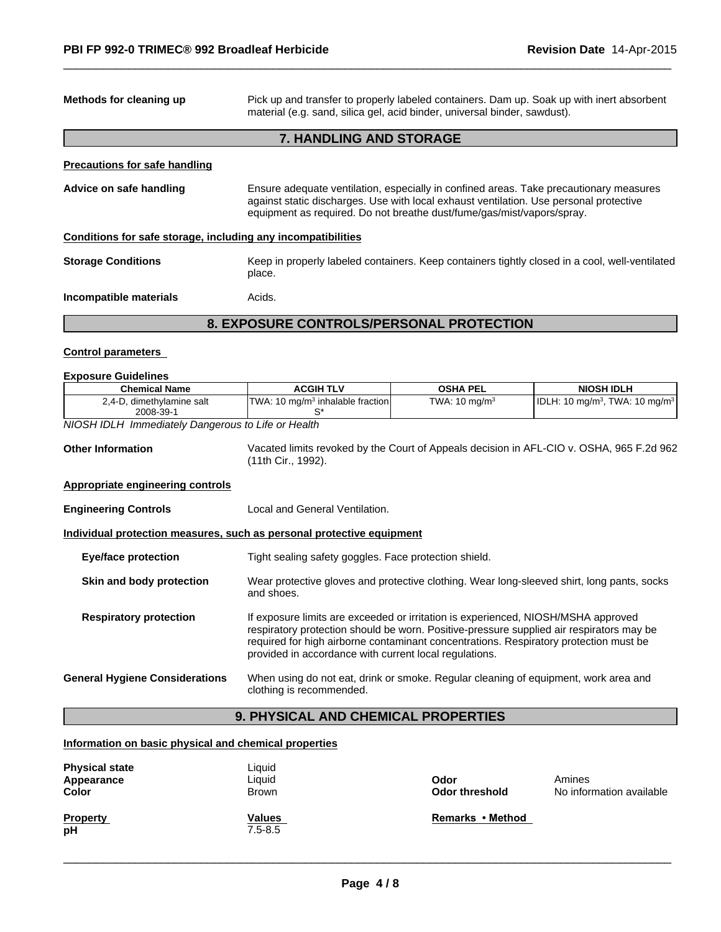| Methods for cleaning up                                               | Pick up and transfer to properly labeled containers. Dam up. Soak up with inert absorbent<br>material (e.g. sand, silica gel, acid binder, universal binder, sawdust).                                                                                                                                                           |                           |                                                        |
|-----------------------------------------------------------------------|----------------------------------------------------------------------------------------------------------------------------------------------------------------------------------------------------------------------------------------------------------------------------------------------------------------------------------|---------------------------|--------------------------------------------------------|
|                                                                       | 7. HANDLING AND STORAGE                                                                                                                                                                                                                                                                                                          |                           |                                                        |
| <b>Precautions for safe handling</b>                                  |                                                                                                                                                                                                                                                                                                                                  |                           |                                                        |
| Advice on safe handling                                               | Ensure adequate ventilation, especially in confined areas. Take precautionary measures<br>against static discharges. Use with local exhaust ventilation. Use personal protective<br>equipment as required. Do not breathe dust/fume/gas/mist/vapors/spray.                                                                       |                           |                                                        |
| Conditions for safe storage, including any incompatibilities          |                                                                                                                                                                                                                                                                                                                                  |                           |                                                        |
| <b>Storage Conditions</b>                                             | Keep in properly labeled containers. Keep containers tightly closed in a cool, well-ventilated<br>place.                                                                                                                                                                                                                         |                           |                                                        |
| Incompatible materials                                                | Acids.                                                                                                                                                                                                                                                                                                                           |                           |                                                        |
|                                                                       | <b>8. EXPOSURE CONTROLS/PERSONAL PROTECTION</b>                                                                                                                                                                                                                                                                                  |                           |                                                        |
| <b>Control parameters</b>                                             |                                                                                                                                                                                                                                                                                                                                  |                           |                                                        |
| <b>Exposure Guidelines</b>                                            |                                                                                                                                                                                                                                                                                                                                  |                           |                                                        |
| <b>Chemical Name</b>                                                  | <b>ACGIH TLV</b>                                                                                                                                                                                                                                                                                                                 | <b>OSHA PEL</b>           | <b>NIOSH IDLH</b>                                      |
| 2,4-D, dimethylamine salt<br>2008-39-1                                | TWA: 10 mg/m <sup>3</sup> inhalable fraction<br>S*                                                                                                                                                                                                                                                                               | TWA: 10 mg/m <sup>3</sup> | IDLH: 10 mg/m <sup>3</sup> , TWA: 10 mg/m <sup>3</sup> |
| NIOSH IDLH Immediately Dangerous to Life or Health                    |                                                                                                                                                                                                                                                                                                                                  |                           |                                                        |
| <b>Other Information</b>                                              | Vacated limits revoked by the Court of Appeals decision in AFL-CIO v. OSHA, 965 F.2d 962<br>(11th Cir., 1992).                                                                                                                                                                                                                   |                           |                                                        |
| <b>Appropriate engineering controls</b>                               |                                                                                                                                                                                                                                                                                                                                  |                           |                                                        |
| <b>Engineering Controls</b>                                           | Local and General Ventilation.                                                                                                                                                                                                                                                                                                   |                           |                                                        |
| Individual protection measures, such as personal protective equipment |                                                                                                                                                                                                                                                                                                                                  |                           |                                                        |
| <b>Eye/face protection</b>                                            | Tight sealing safety goggles. Face protection shield.                                                                                                                                                                                                                                                                            |                           |                                                        |
| Skin and body protection                                              | Wear protective gloves and protective clothing. Wear long-sleeved shirt, long pants, socks<br>and shoes.                                                                                                                                                                                                                         |                           |                                                        |
| <b>Respiratory protection</b>                                         | If exposure limits are exceeded or irritation is experienced, NIOSH/MSHA approved<br>respiratory protection should be worn. Positive-pressure supplied air respirators may be<br>required for high airborne contaminant concentrations. Respiratory protection must be<br>provided in accordance with current local regulations. |                           |                                                        |
| <b>General Hygiene Considerations</b>                                 | When using do not eat, drink or smoke. Regular cleaning of equipment, work area and<br>clothing is recommended.                                                                                                                                                                                                                  |                           |                                                        |
|                                                                       | 9. PHYSICAL AND CHEMICAL PROPERTIES                                                                                                                                                                                                                                                                                              |                           |                                                        |

 $\overline{\phantom{a}}$  ,  $\overline{\phantom{a}}$  ,  $\overline{\phantom{a}}$  ,  $\overline{\phantom{a}}$  ,  $\overline{\phantom{a}}$  ,  $\overline{\phantom{a}}$  ,  $\overline{\phantom{a}}$  ,  $\overline{\phantom{a}}$  ,  $\overline{\phantom{a}}$  ,  $\overline{\phantom{a}}$  ,  $\overline{\phantom{a}}$  ,  $\overline{\phantom{a}}$  ,  $\overline{\phantom{a}}$  ,  $\overline{\phantom{a}}$  ,  $\overline{\phantom{a}}$  ,  $\overline{\phantom{a}}$ 

# **9. PHYSICAL AND CHEMICAL PROPERTIES**

# **Information on basic physical and chemical properties**

| <b>Physical state</b><br>Appearance<br>Color | Liquid<br>Liquid<br>Brown | Odor<br><b>Odor threshold</b> | Amines<br>No information available |
|----------------------------------------------|---------------------------|-------------------------------|------------------------------------|
| <b>Property</b><br>рH                        | Values<br>$7.5 - 8.5$     | Remarks • Method              |                                    |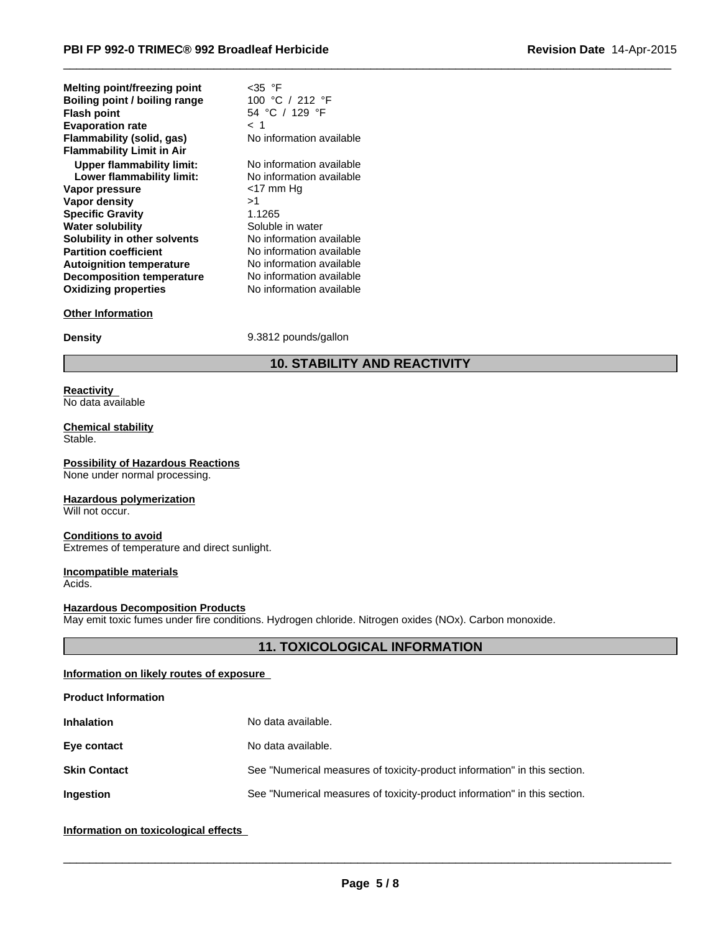| <b>Melting point/freezing point</b> | <35 °F                   |  |
|-------------------------------------|--------------------------|--|
| Boiling point / boiling range       | 100 °C / 212 °F          |  |
| <b>Flash point</b>                  | 54 °C / 129 °F           |  |
| <b>Evaporation rate</b>             | < 1                      |  |
| Flammability (solid, gas)           | No information available |  |
| <b>Flammability Limit in Air</b>    |                          |  |
| Upper flammability limit:           | No information available |  |
| Lower flammability limit:           | No information available |  |
| Vapor pressure                      | <17 mm Hq                |  |
| Vapor density                       | >1                       |  |
| <b>Specific Gravity</b>             | 1.1265                   |  |
| <b>Water solubility</b>             | Soluble in water         |  |
| Solubility in other solvents        | No information available |  |
| <b>Partition coefficient</b>        | No information available |  |
| <b>Autoignition temperature</b>     | No information available |  |
| <b>Decomposition temperature</b>    | No information available |  |
| <b>Oxidizing properties</b>         | No information available |  |
|                                     |                          |  |

# **Other Information**

**Density** 9.3812 pounds/gallon

# **10. STABILITY AND REACTIVITY**

 $\overline{\phantom{a}}$  ,  $\overline{\phantom{a}}$  ,  $\overline{\phantom{a}}$  ,  $\overline{\phantom{a}}$  ,  $\overline{\phantom{a}}$  ,  $\overline{\phantom{a}}$  ,  $\overline{\phantom{a}}$  ,  $\overline{\phantom{a}}$  ,  $\overline{\phantom{a}}$  ,  $\overline{\phantom{a}}$  ,  $\overline{\phantom{a}}$  ,  $\overline{\phantom{a}}$  ,  $\overline{\phantom{a}}$  ,  $\overline{\phantom{a}}$  ,  $\overline{\phantom{a}}$  ,  $\overline{\phantom{a}}$ 

#### **Reactivity**  No data available

#### **Chemical stability** Stable.

**Possibility of Hazardous Reactions** None under normal processing.

# **Hazardous polymerization**

Will not occur.

### **Conditions to avoid**

Extremes of temperature and direct sunlight.

# **Incompatible materials**

Acids.

# **Hazardous Decomposition Products**

May emit toxic fumes under fire conditions. Hydrogen chloride. Nitrogen oxides (NOx). Carbon monoxide.

# **11. TOXICOLOGICAL INFORMATION**

# **Information on likely routes of exposure**

| <b>Product Information</b> |                                                                           |
|----------------------------|---------------------------------------------------------------------------|
| <b>Inhalation</b>          | No data available.                                                        |
| Eye contact                | No data available.                                                        |
| <b>Skin Contact</b>        | See "Numerical measures of toxicity-product information" in this section. |
| Ingestion                  | See "Numerical measures of toxicity-product information" in this section. |
|                            |                                                                           |

# **Information on toxicological effects**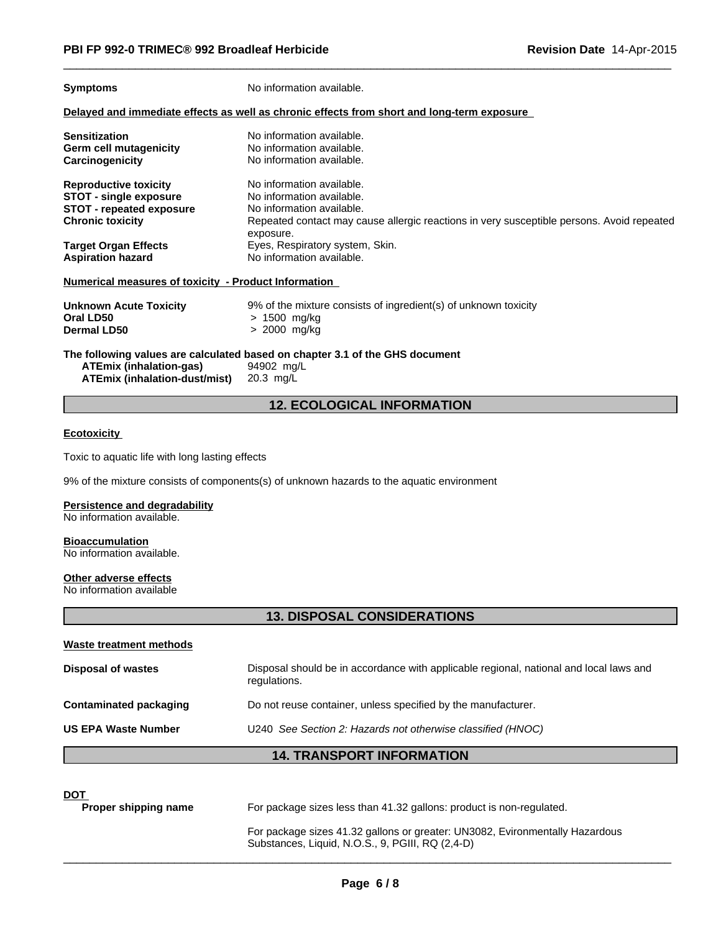**Symptoms** No information available.

#### **Delayed and immediate effects as well as chronic effects from short and long-term exposure**

| <b>Sensitization</b>                                 | No information available.                                                                              |
|------------------------------------------------------|--------------------------------------------------------------------------------------------------------|
| Germ cell mutagenicity                               | No information available.                                                                              |
| Carcinogenicity                                      | No information available.                                                                              |
| <b>Reproductive toxicity</b>                         | No information available.                                                                              |
| <b>STOT - single exposure</b>                        | No information available.                                                                              |
| <b>STOT - repeated exposure</b>                      | No information available.                                                                              |
| <b>Chronic toxicity</b>                              | Repeated contact may cause allergic reactions in very susceptible persons. Avoid repeated<br>exposure. |
| <b>Target Organ Effects</b>                          | Eyes, Respiratory system, Skin.                                                                        |
| <b>Aspiration hazard</b>                             | No information available.                                                                              |
| Numerical measures of toxicity - Product Information |                                                                                                        |
| <b>Unknown Acute Toxicity</b>                        | 9% of the mixture consists of ingredient(s) of unknown toxicity                                        |
| Oral LD50                                            | $> 1500$ mg/kg                                                                                         |
| <b>Dermal LD50</b>                                   | > 2000 mg/kg                                                                                           |

 $\overline{\phantom{a}}$  ,  $\overline{\phantom{a}}$  ,  $\overline{\phantom{a}}$  ,  $\overline{\phantom{a}}$  ,  $\overline{\phantom{a}}$  ,  $\overline{\phantom{a}}$  ,  $\overline{\phantom{a}}$  ,  $\overline{\phantom{a}}$  ,  $\overline{\phantom{a}}$  ,  $\overline{\phantom{a}}$  ,  $\overline{\phantom{a}}$  ,  $\overline{\phantom{a}}$  ,  $\overline{\phantom{a}}$  ,  $\overline{\phantom{a}}$  ,  $\overline{\phantom{a}}$  ,  $\overline{\phantom{a}}$ 

**The following values are calculated based on chapter 3.1 of the GHS document ATEmix (inhalation-gas)** 94902 mg/L **ATEmix (inhalation-dust/mist)** 20.3 mg/L

# **12. ECOLOGICAL INFORMATION**

# **Ecotoxicity**

Toxic to aquatic life with long lasting effects

9% of the mixture consists of components(s) of unknown hazards to the aquatic environment

# **Persistence and degradability**

No information available.

#### **Bioaccumulation**

No information available.

#### **Other adverse effects**

No information available

# **13. DISPOSAL CONSIDERATIONS**

# **Waste treatment methods**

| Disposal should be in accordance with applicable regional, national and local laws and<br>regulations.<br>Do not reuse container, unless specified by the manufacturer.<br>U240 See Section 2: Hazards not otherwise classified (HNOC) |                               | <b>14. TRANSPORT INFORMATION</b> |
|----------------------------------------------------------------------------------------------------------------------------------------------------------------------------------------------------------------------------------------|-------------------------------|----------------------------------|
|                                                                                                                                                                                                                                        | <b>US EPA Waste Number</b>    |                                  |
|                                                                                                                                                                                                                                        | <b>Contaminated packaging</b> |                                  |
|                                                                                                                                                                                                                                        | Disposal of wastes            |                                  |

# **DOT**

| Proper shipping name | For package sizes less than 41.32 gallons: product is non-regulated.                                                             |
|----------------------|----------------------------------------------------------------------------------------------------------------------------------|
|                      | For package sizes 41.32 gallons or greater: UN3082, Evironmentally Hazardous<br>Substances, Liquid, N.O.S., 9, PGIII, RQ (2,4-D) |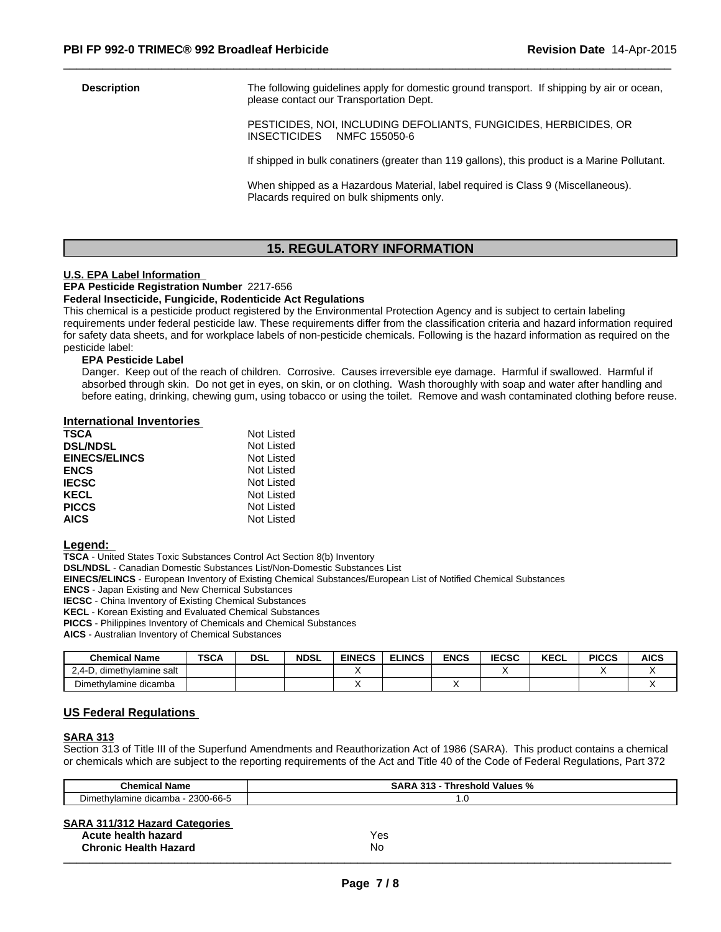**Description** The following guidelines apply for domestic ground transport. If shipping by air or ocean, please contact our Transportation Dept.

> PESTICIDES, NOI, INCLUDING DEFOLIANTS, FUNGICIDES, HERBICIDES, OR INSECTICIDES NMFC 155050-6

 $\overline{\phantom{a}}$  ,  $\overline{\phantom{a}}$  ,  $\overline{\phantom{a}}$  ,  $\overline{\phantom{a}}$  ,  $\overline{\phantom{a}}$  ,  $\overline{\phantom{a}}$  ,  $\overline{\phantom{a}}$  ,  $\overline{\phantom{a}}$  ,  $\overline{\phantom{a}}$  ,  $\overline{\phantom{a}}$  ,  $\overline{\phantom{a}}$  ,  $\overline{\phantom{a}}$  ,  $\overline{\phantom{a}}$  ,  $\overline{\phantom{a}}$  ,  $\overline{\phantom{a}}$  ,  $\overline{\phantom{a}}$ 

If shipped in bulk conatiners (greater than 119 gallons), this product is a Marine Pollutant.

When shipped as a Hazardous Material, label required is Class 9 (Miscellaneous). Placards required on bulk shipments only.

# **15. REGULATORY INFORMATION**

#### **U.S. EPA Label Information**

**EPA Pesticide Registration Number** 2217-656

#### **Federal Insecticide, Fungicide, Rodenticide Act Regulations**

This chemical is a pesticide product registered by the Environmental Protection Agency and is subject to certain labeling requirements under federal pesticide law. These requirements differ from the classification criteria and hazard information required for safety data sheets, and for workplace labels of non-pesticide chemicals. Following is the hazard information as required on the pesticide label:

#### **EPA Pesticide Label**

Danger. Keep out of the reach of children. Corrosive. Causes irreversible eye damage. Harmful if swallowed. Harmful if absorbed through skin. Do not get in eyes, on skin, or on clothing. Wash thoroughly with soap and water after handling and before eating, drinking, chewing gum, using tobacco or using the toilet. Remove and wash contaminated clothing before reuse.

#### **International Inventories**

| <b>TSCA</b>          | Not Listed |
|----------------------|------------|
| <b>DSL/NDSL</b>      | Not Listed |
| <b>EINECS/ELINCS</b> | Not Listed |
| <b>ENCS</b>          | Not Listed |
| <b>IECSC</b>         | Not Listed |
| <b>KECL</b>          | Not Listed |
| <b>PICCS</b>         | Not Listed |
| <b>AICS</b>          | Not Listed |

#### **Legend:**

**TSCA** - United States Toxic Substances Control Act Section 8(b) Inventory

**DSL/NDSL** - Canadian Domestic Substances List/Non-Domestic Substances List

**EINECS/ELINCS** - European Inventory of Existing Chemical Substances/European List of Notified Chemical Substances

**ENCS** - Japan Existing and New Chemical Substances

**IECSC** - China Inventory of Existing Chemical Substances

**KECL** - Korean Existing and Evaluated Chemical Substances

**PICCS** - Philippines Inventory of Chemicals and Chemical Substances

**AICS** - Australian Inventory of Chemical Substances

| <b>Chemical Name</b>                  | <b>TSCA</b> | <b>DSL</b> | <b>NDSL</b> | <b>EINECS</b> | <b>ELINCS</b> | <b>ENCS</b> | <b>IECSC</b> | $2F^{\prime}$<br><b>KEUL</b> | <b>PICCS</b> | <b>AICS</b> |
|---------------------------------------|-------------|------------|-------------|---------------|---------------|-------------|--------------|------------------------------|--------------|-------------|
| , dimethylamine salt<br>$-0.4$<br>້   |             |            |             |               |               |             |              |                              |              |             |
| $\mathbf{r}$<br>Dimethylamine dicamba |             |            |             |               |               |             |              |                              |              |             |

### **US Federal Regulations**

#### **SARA 313**

Section 313 of Title III of the Superfund Amendments and Reauthorization Act of 1986 (SARA). This product contains a chemical or chemicals which are subject to the reporting requirements of the Act and Title 40 of the Code of Federal Regulations, Part 372

| <b>Chemical Name</b>                                                                         | <b>SARA 313 - Threshold Values %</b> |
|----------------------------------------------------------------------------------------------|--------------------------------------|
| Dimethylamine dicamba - 2300-66-5                                                            | 1.0                                  |
| <b>SARA 311/312 Hazard Categories</b><br>Acute health hazard<br><b>Chronic Health Hazard</b> | Yes<br><b>No</b>                     |